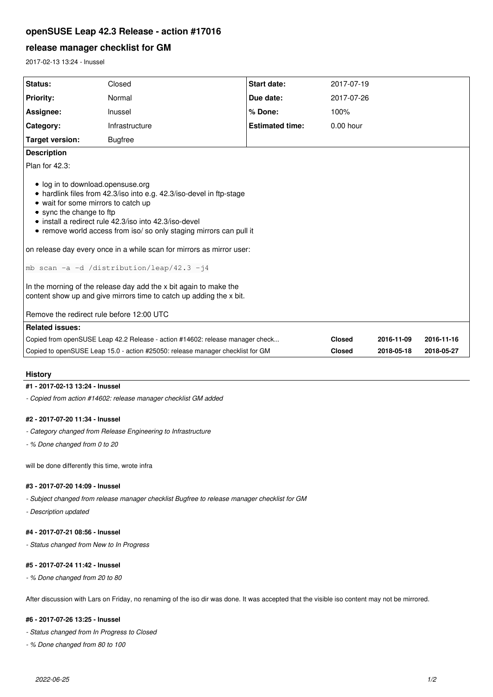# **openSUSE Leap 42.3 Release - action #17016**

## **release manager checklist for GM**

2017-02-13 13:24 - lnussel

| Status:                                                                                                                                                                                                                                                                                                      | Closed         | <b>Start date:</b>     | 2017-07-19    |            |            |
|--------------------------------------------------------------------------------------------------------------------------------------------------------------------------------------------------------------------------------------------------------------------------------------------------------------|----------------|------------------------|---------------|------------|------------|
| <b>Priority:</b>                                                                                                                                                                                                                                                                                             | Normal         | Due date:              | 2017-07-26    |            |            |
| Assignee:                                                                                                                                                                                                                                                                                                    | Inussel        | % Done:                | 100%          |            |            |
| Category:                                                                                                                                                                                                                                                                                                    | Infrastructure | <b>Estimated time:</b> | $0.00$ hour   |            |            |
| <b>Target version:</b>                                                                                                                                                                                                                                                                                       | <b>Bugfree</b> |                        |               |            |            |
| <b>Description</b>                                                                                                                                                                                                                                                                                           |                |                        |               |            |            |
| Plan for 42.3:                                                                                                                                                                                                                                                                                               |                |                        |               |            |            |
| • log in to download.opensuse.org<br>• hardlink files from 42.3/iso into e.g. 42.3/iso-devel in ftp-stage<br>• wait for some mirrors to catch up<br>• sync the change to ftp<br>· install a redirect rule 42.3/iso into 42.3/iso-devel<br>• remove world access from iso/so only staging mirrors can pull it |                |                        |               |            |            |
| on release day every once in a while scan for mirrors as mirror user:                                                                                                                                                                                                                                        |                |                        |               |            |            |
| mb scan -a -d /distribution/leap/42.3 -j4                                                                                                                                                                                                                                                                    |                |                        |               |            |            |
| In the morning of the release day add the x bit again to make the<br>content show up and give mirrors time to catch up adding the x bit.                                                                                                                                                                     |                |                        |               |            |            |
| Remove the redirect rule before 12:00 UTC                                                                                                                                                                                                                                                                    |                |                        |               |            |            |
| <b>Related issues:</b>                                                                                                                                                                                                                                                                                       |                |                        |               |            |            |
| Copied from openSUSE Leap 42.2 Release - action #14602: release manager check                                                                                                                                                                                                                                |                |                        | <b>Closed</b> | 2016-11-09 | 2016-11-16 |
| Copied to openSUSE Leap 15.0 - action #25050: release manager checklist for GM                                                                                                                                                                                                                               |                |                        | <b>Closed</b> | 2018-05-18 | 2018-05-27 |

#### **History**

### **#1 - 2017-02-13 13:24 - lnussel**

*- Copied from action #14602: release manager checklist GM added*

#### **#2 - 2017-07-20 11:34 - lnussel**

- *Category changed from Release Engineering to Infrastructure*
- *% Done changed from 0 to 20*

will be done differently this time, wrote infra

#### **#3 - 2017-07-20 14:09 - lnussel**

*- Subject changed from release manager checklist Bugfree to release manager checklist for GM*

*- Description updated*

# **#4 - 2017-07-21 08:56 - lnussel**

*- Status changed from New to In Progress*

# **#5 - 2017-07-24 11:42 - lnussel**

*- % Done changed from 20 to 80*

After discussion with Lars on Friday, no renaming of the iso dir was done. It was accepted that the visible iso content may not be mirrored.

## **#6 - 2017-07-26 13:25 - lnussel**

*- Status changed from In Progress to Closed*

*- % Done changed from 80 to 100*